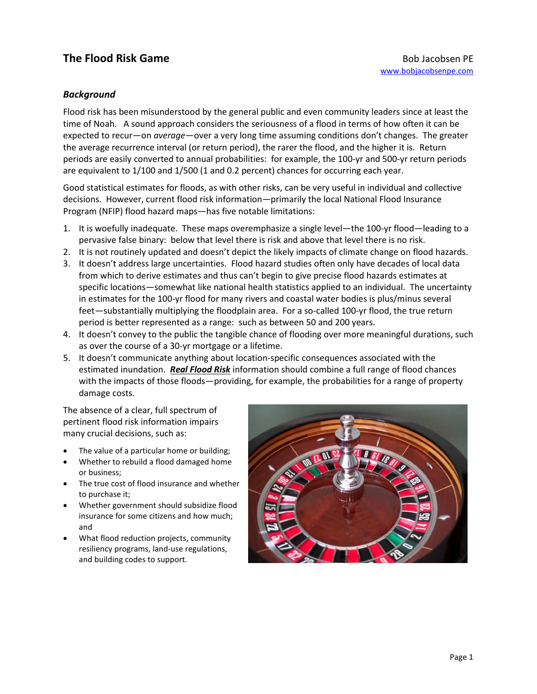# **The Flood Risk Game Bob Jacobsen PE Bob Jacobsen PE**

## *Background*

Flood risk has been misunderstood by the general public and even community leaders since at least the time of Noah. A sound approach considers the seriousness of a flood in terms of how often it can be expected to recur—on *average—*over a very long time assuming conditions don't changes. The greater the average recurrence interval (or return period), the rarer the flood, and the higher it is. Return periods are easily converted to annual probabilities: for example, the 100-yr and 500-yr return periods are equivalent to 1/100 and 1/500 (1 and 0.2 percent) chances for occurring each year.

Good statistical estimates for floods, as with other risks, can be very useful in individual and collective decisions. However, current flood risk information—primarily the local National Flood Insurance Program (NFIP) flood hazard maps—has five notable limitations:

- 1. It is woefully inadequate. These maps overemphasize a single level—the 100-yr flood—leading to a pervasive false binary: below that level there is risk and above that level there is no risk.
- 2. It is not routinely updated and doesn't depict the likely impacts of climate change on flood hazards.
- 3. It doesn't address large uncertainties. Flood hazard studies often only have decades of local data from which to derive estimates and thus can't begin to give precise flood hazards estimates at specific locations—somewhat like national health statistics applied to an individual. The uncertainty in estimates for the 100-yr flood for many rivers and coastal water bodies is plus/minus several feet—substantially multiplying the floodplain area. For a so-called 100-yr flood, the true return period is better represented as a range: such as between 50 and 200 years.
- 4. It doesn't convey to the public the tangible chance of flooding over more meaningful durations, such as over the course of a 30-yr mortgage or a lifetime.
- 5. It doesn't communicate anything about location-specific consequences associated with the estimated inundation. *Real Flood Risk* information should combine a full range of flood chances with the impacts of those floods—providing, for example, the probabilities for a range of property damage costs.

The absence of a clear, full spectrum of pertinent flood risk information impairs many crucial decisions, such as:

- The value of a particular home or building;
- Whether to rebuild a flood damaged home or business;
- The true cost of flood insurance and whether to purchase it;
- Whether government should subsidize flood insurance for some citizens and how much; and
- What flood reduction projects, community resiliency programs, land-use regulations, and building codes to support.

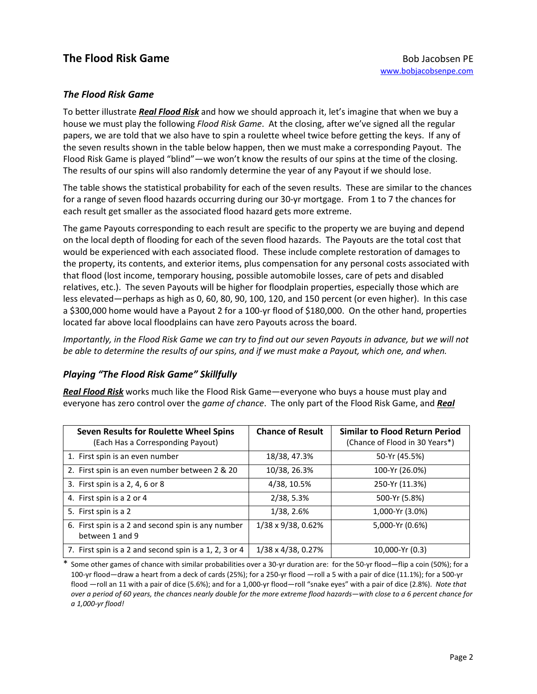## **The Flood Risk Game Bob Jacobsen PE Bob Jacobsen PE**

#### *The Flood Risk Game*

To better illustrate *Real Flood Risk* and how we should approach it, let's imagine that when we buy a house we must play the following *Flood Risk Game*. At the closing, after we've signed all the regular papers, we are told that we also have to spin a roulette wheel twice before getting the keys. If any of the seven results shown in the table below happen, then we must make a corresponding Payout. The Flood Risk Game is played "blind"—we won't know the results of our spins at the time of the closing. The results of our spins will also randomly determine the year of any Payout if we should lose.

The table shows the statistical probability for each of the seven results. These are similar to the chances for a range of seven flood hazards occurring during our 30-yr mortgage. From 1 to 7 the chances for each result get smaller as the associated flood hazard gets more extreme.

The game Payouts corresponding to each result are specific to the property we are buying and depend on the local depth of flooding for each of the seven flood hazards. The Payouts are the total cost that would be experienced with each associated flood. These include complete restoration of damages to the property, its contents, and exterior items, plus compensation for any personal costs associated with that flood (lost income, temporary housing, possible automobile losses, care of pets and disabled relatives, etc.). The seven Payouts will be higher for floodplain properties, especially those which are less elevated—perhaps as high as 0, 60, 80, 90, 100, 120, and 150 percent (or even higher). In this case a \$300,000 home would have a Payout 2 for a 100-yr flood of \$180,000. On the other hand, properties located far above local floodplains can have zero Payouts across the board.

*Importantly, in the Flood Risk Game we can try to find out our seven Payouts in advance, but we will not be able to determine the results of our spins, and if we must make a Payout, which one, and when.* 

#### *Playing "The Flood Risk Game" Skillfully*

*Real Flood Risk* works much like the Flood Risk Game—everyone who buys a house must play and everyone has zero control over the *game of chance*. The only part of the Flood Risk Game, and *Real*

| Seven Results for Roulette Wheel Spins<br>(Each Has a Corresponding Payout) | <b>Chance of Result</b>    | <b>Similar to Flood Return Period</b><br>(Chance of Flood in 30 Years*) |
|-----------------------------------------------------------------------------|----------------------------|-------------------------------------------------------------------------|
| 1. First spin is an even number                                             | 18/38, 47.3%               | 50-Yr (45.5%)                                                           |
| 2. First spin is an even number between 2 & 20                              | 10/38, 26.3%               | 100-Yr (26.0%)                                                          |
| 3. First spin is a 2, 4, 6 or 8                                             | 4/38, 10.5%                | 250-Yr (11.3%)                                                          |
| 4. First spin is a 2 or 4                                                   | 2/38, 5.3%                 | 500-Yr (5.8%)                                                           |
| 5. First spin is a 2                                                        | 1/38, 2.6%                 | 1,000-Yr (3.0%)                                                         |
| 6. First spin is a 2 and second spin is any number<br>between 1 and 9       | 1/38 x 9/38, 0.62%         | 5,000-Yr (0.6%)                                                         |
| 7. First spin is a 2 and second spin is a 1, 2, 3 or 4                      | $1/38 \times 4/38$ , 0.27% | 10,000-Yr (0.3)                                                         |

Some other games of chance with similar probabilities over a 30-yr duration are: for the 50-yr flood—flip a coin (50%); for a 100-yr flood—draw a heart from a deck of cards (25%); for a 250-yr flood —roll a 5 with a pair of dice (11.1%); for a 500-yr flood —roll an 11 with a pair of dice (5.6%); and for a 1,000-yr flood—roll "snake eyes" with a pair of dice (2.8%). *Note that over a period of 60 years, the chances nearly double for the more extreme flood hazards—with close to a 6 percent chance for a 1,000-yr flood!*